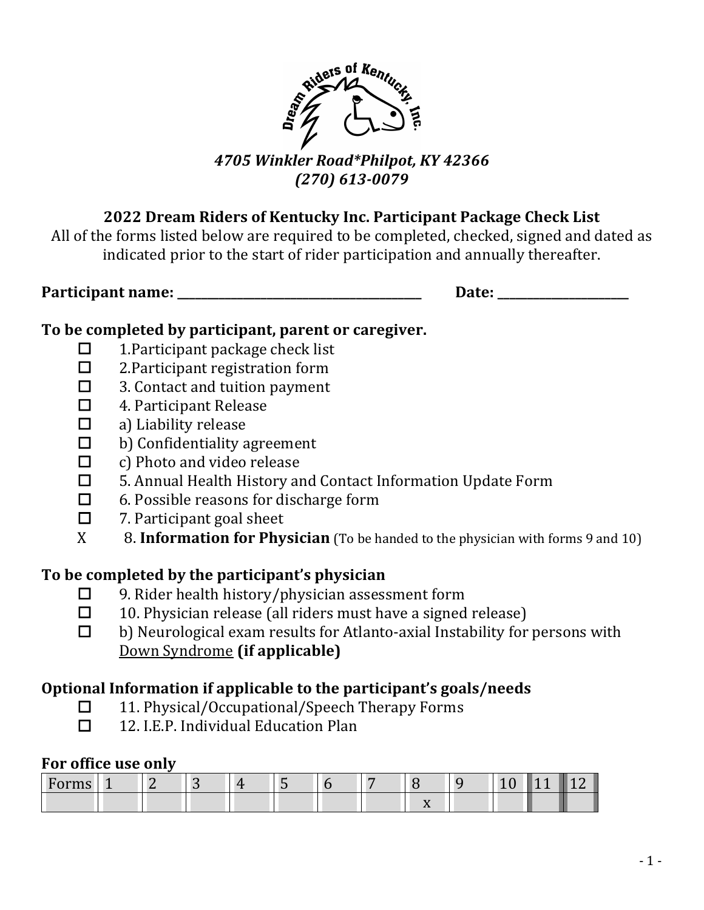

## *4705 Winkler Road\*Philpot, KY 42366 (270) 613-0079*

#### **2022 Dream Riders of Kentucky Inc. Participant Package Check List**

All of the forms listed below are required to be completed, checked, signed and dated as indicated prior to the start of rider participation and annually thereafter.

| Participant name: | Date |  |
|-------------------|------|--|
|-------------------|------|--|

#### To be completed by participant, parent or caregiver.

- $\Box$  1. Participant package check list
- $\Box$  2. Participant registration form
- $\Box$  3. Contact and tuition payment
- $\Box$  4. Participant Release
- $\Box$  a) Liability release
- $\Box$  b) Confidentiality agreement
- $\Box$  c) Photo and video release
- $\Box$  5. Annual Health History and Contact Information Update Form
- $\Box$  6. Possible reasons for discharge form
- $\Box$  7. Participant goal sheet
- **X** 8. **Information for Physician** (To be handed to the physician with forms 9 and 10)

#### **To be completed by the participant's physician**

- $\Box$  9. Rider health history/physician assessment form
- $\Box$  10. Physician release (all riders must have a signed release)
- $\Box$  b) Neurological exam results for Atlanto-axial Instability for persons with Down Syndrome (if applicable)

### **Optional Information if applicable to the participant's goals/needs**

- $\Box$  11. Physical/Occupational/Speech Therapy Forms
- $\Box$  12. I.E.P. Individual Education Plan

#### For office use only

| 14122<br>0111 |  | $\Lambda$ |  |                |  |  |
|---------------|--|-----------|--|----------------|--|--|
|               |  |           |  | $\overline{A}$ |  |  |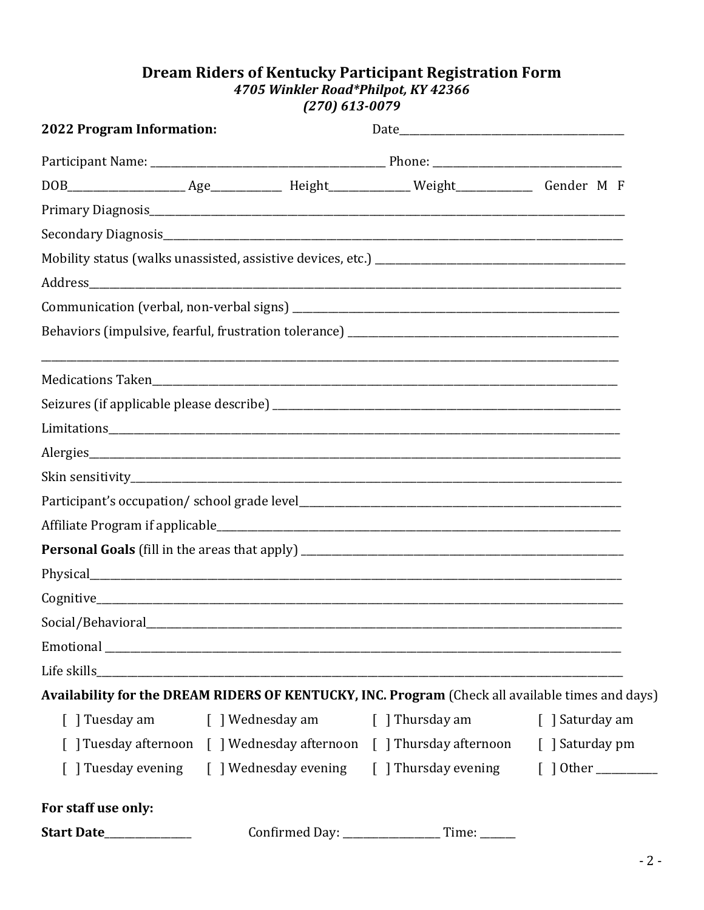# Dream Riders of Kentucky Participant Registration Form<br>4705 Winkler Road\*Philpot, KY 42366<br>(270) 613-0079

| <b>2022 Program Information:</b>                                                                               |  |                  |                                                                                      |                                                                                  |  |  |
|----------------------------------------------------------------------------------------------------------------|--|------------------|--------------------------------------------------------------------------------------|----------------------------------------------------------------------------------|--|--|
|                                                                                                                |  |                  |                                                                                      |                                                                                  |  |  |
|                                                                                                                |  |                  |                                                                                      |                                                                                  |  |  |
|                                                                                                                |  |                  |                                                                                      |                                                                                  |  |  |
|                                                                                                                |  |                  |                                                                                      |                                                                                  |  |  |
| Mobility status (walks unassisted, assistive devices, etc.) [1986] [2013] [2013] [2014] [2014] [2014] [2014] [ |  |                  |                                                                                      |                                                                                  |  |  |
|                                                                                                                |  |                  |                                                                                      |                                                                                  |  |  |
|                                                                                                                |  |                  |                                                                                      |                                                                                  |  |  |
|                                                                                                                |  |                  |                                                                                      |                                                                                  |  |  |
|                                                                                                                |  |                  |                                                                                      |                                                                                  |  |  |
|                                                                                                                |  |                  |                                                                                      |                                                                                  |  |  |
|                                                                                                                |  |                  |                                                                                      |                                                                                  |  |  |
|                                                                                                                |  |                  |                                                                                      |                                                                                  |  |  |
|                                                                                                                |  |                  |                                                                                      |                                                                                  |  |  |
|                                                                                                                |  |                  |                                                                                      |                                                                                  |  |  |
|                                                                                                                |  |                  |                                                                                      |                                                                                  |  |  |
|                                                                                                                |  |                  |                                                                                      |                                                                                  |  |  |
|                                                                                                                |  |                  |                                                                                      |                                                                                  |  |  |
|                                                                                                                |  |                  |                                                                                      |                                                                                  |  |  |
|                                                                                                                |  |                  |                                                                                      |                                                                                  |  |  |
|                                                                                                                |  |                  |                                                                                      |                                                                                  |  |  |
|                                                                                                                |  |                  |                                                                                      |                                                                                  |  |  |
| Availability for the DREAM RIDERS OF KENTUCKY, INC. Program (Check all available times and days)               |  |                  |                                                                                      |                                                                                  |  |  |
| [ ] Tuesday am                                                                                                 |  | [ ] Wednesday am | [ ] Thursday am                                                                      | [ ] Saturday am                                                                  |  |  |
|                                                                                                                |  |                  | [ ] Tuesday afternoon [ ] Wednesday afternoon [ ] Thursday afternoon [ ] Saturday pm |                                                                                  |  |  |
|                                                                                                                |  |                  |                                                                                      | [ ] Tuesday evening [ ] Wednesday evening [ ] Thursday evening [ ] Other _______ |  |  |
| For staff use only:                                                                                            |  |                  |                                                                                      |                                                                                  |  |  |
| Start Date                                                                                                     |  |                  |                                                                                      |                                                                                  |  |  |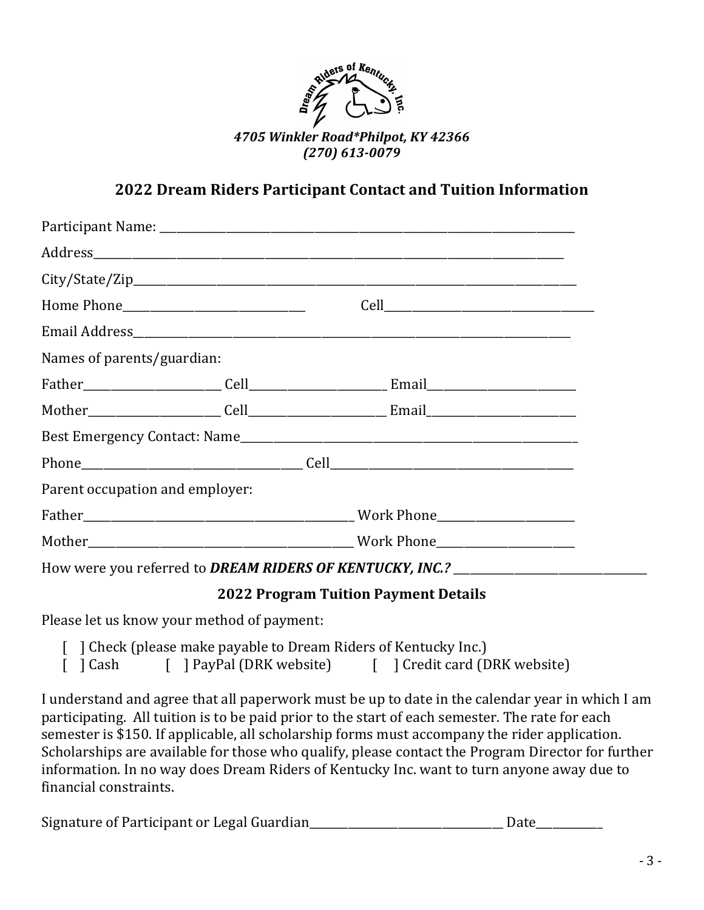

#### **2022 Dream Riders Participant Contact and Tuition Information**

| Names of parents/guardian:      |  |                                                                                  |  |
|---------------------------------|--|----------------------------------------------------------------------------------|--|
|                                 |  |                                                                                  |  |
|                                 |  |                                                                                  |  |
|                                 |  |                                                                                  |  |
|                                 |  |                                                                                  |  |
| Parent occupation and employer: |  |                                                                                  |  |
|                                 |  |                                                                                  |  |
|                                 |  |                                                                                  |  |
|                                 |  | How were you referred to DREAM RIDERS OF KENTUCKY, INC.? _______________________ |  |

#### **2022 Program Tuition Payment Details**

Please let us know your method of payment:

 $\lceil$   $\lceil$   $\lceil$   $\lceil$   $\lceil$   $\lceil$   $\lceil$   $\lceil$   $\lceil$   $\lceil$   $\lceil$   $\lceil$   $\lceil$   $\lceil$   $\lceil$   $\lceil$   $\lceil$   $\lceil$   $\lceil$   $\lceil$   $\lceil$   $\lceil$   $\lceil$   $\lceil$   $\lceil$   $\lceil$   $\lceil$   $\lceil$   $\lceil$   $\lceil$   $\lceil$   $\lceil$   $\lceil$   $\lceil$   $\lceil$   $\lceil$   $\lceil$ 

[  $|$  Cash [  $|$  PayPal (DRK website) [  $|$  Credit card (DRK website)

I understand and agree that all paperwork must be up to date in the calendar year in which I am participating. All tuition is to be paid prior to the start of each semester. The rate for each semester is \$150. If applicable, all scholarship forms must accompany the rider application. Scholarships are available for those who qualify, please contact the Program Director for further information. In no way does Dream Riders of Kentucky Inc. want to turn anyone away due to financial constraints. 

Signature of Participant or Legal Guardian\_\_\_\_\_\_\_\_\_\_\_\_\_\_\_\_\_\_\_\_\_\_\_\_\_\_\_\_\_\_\_\_\_\_\_ Date\_\_\_\_\_\_\_\_\_\_\_\_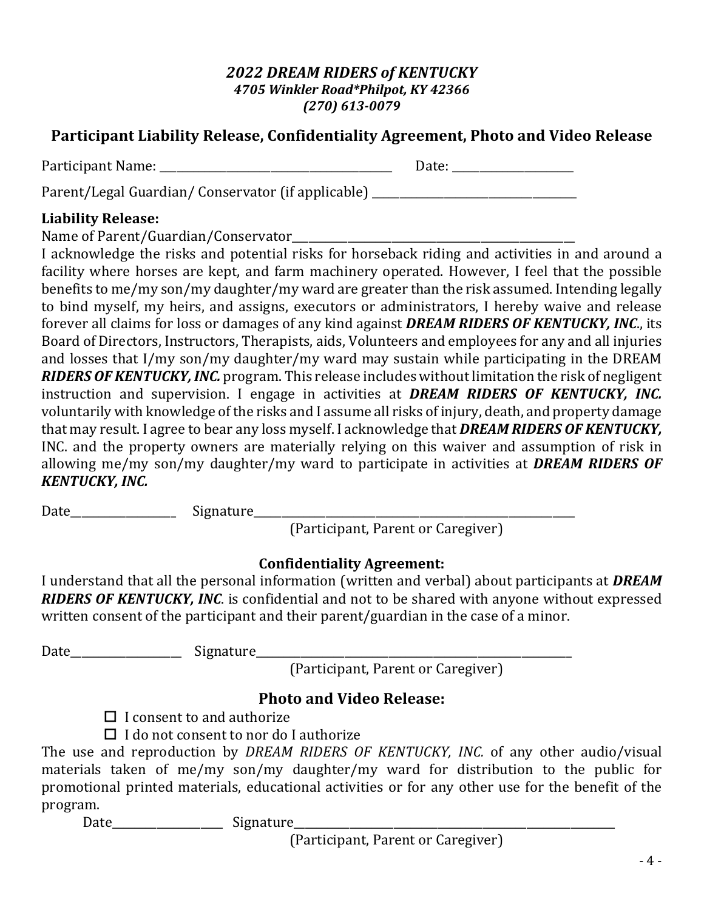#### *2022 DREAM RIDERS of KENTUCKY 4705 Winkler Road\*Philpot, KY 42366 (270) 613-0079*

#### **Participant Liability Release, Confidentiality Agreement, Photo and Video Release**

| Participant Name:                                 | Date: |
|---------------------------------------------------|-------|
| Parent/Legal Guardian/Conservator (if applicable) |       |

#### **Liability Release:**

Name of Parent/Guardian/Conservator

I acknowledge the risks and potential risks for horseback riding and activities in and around a facility where horses are kept, and farm machinery operated. However, I feel that the possible benefits to me/my son/my daughter/my ward are greater than the risk assumed. Intending legally to bind myself, my heirs, and assigns, executors or administrators, I hereby waive and release forever all claims for loss or damages of any kind against **DREAM RIDERS OF KENTUCKY, INC.**, its Board of Directors, Instructors, Therapists, aids, Volunteers and employees for any and all injuries and losses that  $I/my$  son/my daughter/my ward may sustain while participating in the DREAM *RIDERS OF KENTUCKY, INC.* program. This release includes without limitation the risk of negligent instruction and supervision. I engage in activities at **DREAM RIDERS OF KENTUCKY, INC.** voluntarily with knowledge of the risks and I assume all risks of injury, death, and property damage that may result. I agree to bear any loss myself. I acknowledge that **DREAM RIDERS OF KENTUCKY**, INC. and the property owners are materially relying on this waiver and assumption of risk in allowing me/my son/my daughter/my ward to participate in activities at **DREAM RIDERS OF KENTUCKY, INC.** 

Date\_\_\_\_\_\_\_\_\_\_\_\_\_\_\_\_\_\_\_ Signature\_\_\_\_\_\_\_\_\_\_\_\_\_\_\_\_\_\_\_\_\_\_\_\_\_\_\_\_\_\_\_\_\_\_\_\_\_\_\_\_\_\_\_\_\_\_\_\_\_\_\_\_\_\_\_\_\_\_

(Participant, Parent or Caregiver)

#### **Confidentiality Agreement:**

I understand that all the personal information (written and verbal) about participants at **DREAM** *RIDERS OF KENTUCKY, INC.* is confidential and not to be shared with anyone without expressed written consent of the participant and their parent/guardian in the case of a minor.

Date\_\_\_\_\_\_\_\_\_\_\_\_\_\_\_\_\_\_\_\_ Signature\_\_\_\_\_\_\_\_\_\_\_\_\_\_\_\_\_\_\_\_\_\_\_\_\_\_\_\_\_\_\_\_\_\_\_\_\_\_\_\_\_\_\_\_\_\_\_\_\_\_\_\_\_\_\_\_\_

(Participant, Parent or Caregiver)

### **Photo and Video Release:**

 $\Box$  I consent to and authorize

 $\Box$  I do not consent to nor do I authorize

The use and reproduction by *DREAM RIDERS OF KENTUCKY, INC.* of any other audio/visual materials taken of me/my son/my daughter/my ward for distribution to the public for promotional printed materials, educational activities or for any other use for the benefit of the program.

Date **Date Signature** 

(Participant, Parent or Caregiver)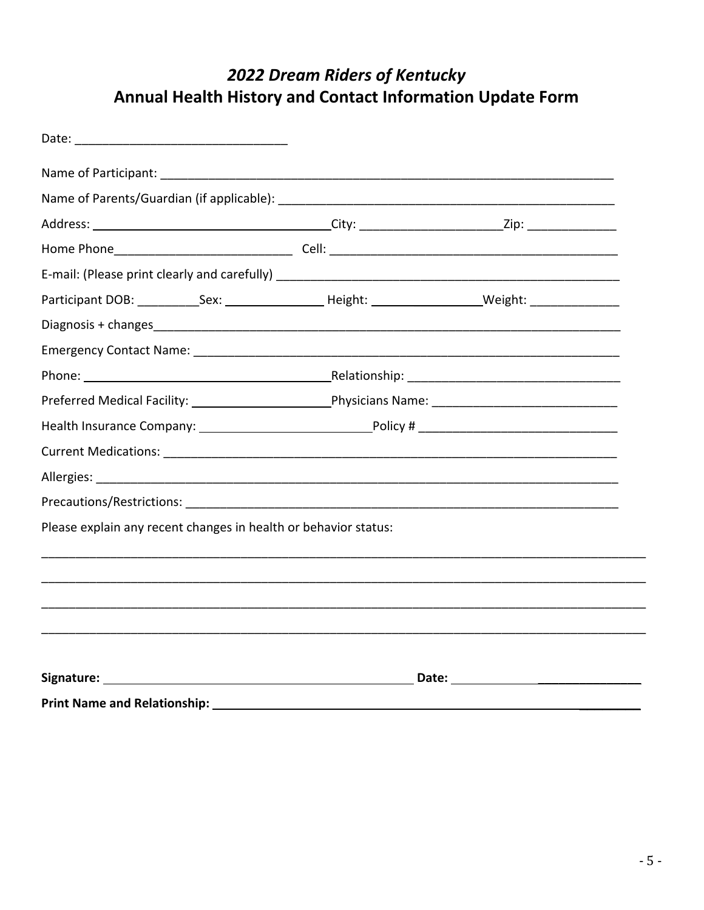# **2022 Dream Riders of Kentucky** Annual Health History and Contact Information Update Form

| Participant DOB: ___________Sex: ___________________Height: ____________________Weight: ____________ |                                                    |  |
|------------------------------------------------------------------------------------------------------|----------------------------------------------------|--|
|                                                                                                      |                                                    |  |
|                                                                                                      |                                                    |  |
|                                                                                                      |                                                    |  |
|                                                                                                      |                                                    |  |
|                                                                                                      |                                                    |  |
|                                                                                                      |                                                    |  |
|                                                                                                      |                                                    |  |
|                                                                                                      |                                                    |  |
| Please explain any recent changes in health or behavior status:                                      |                                                    |  |
|                                                                                                      |                                                    |  |
|                                                                                                      |                                                    |  |
|                                                                                                      |                                                    |  |
|                                                                                                      |                                                    |  |
|                                                                                                      |                                                    |  |
|                                                                                                      | Date: <u>www.community.community.community.com</u> |  |
| <b>Print Name and Relationship:</b>                                                                  |                                                    |  |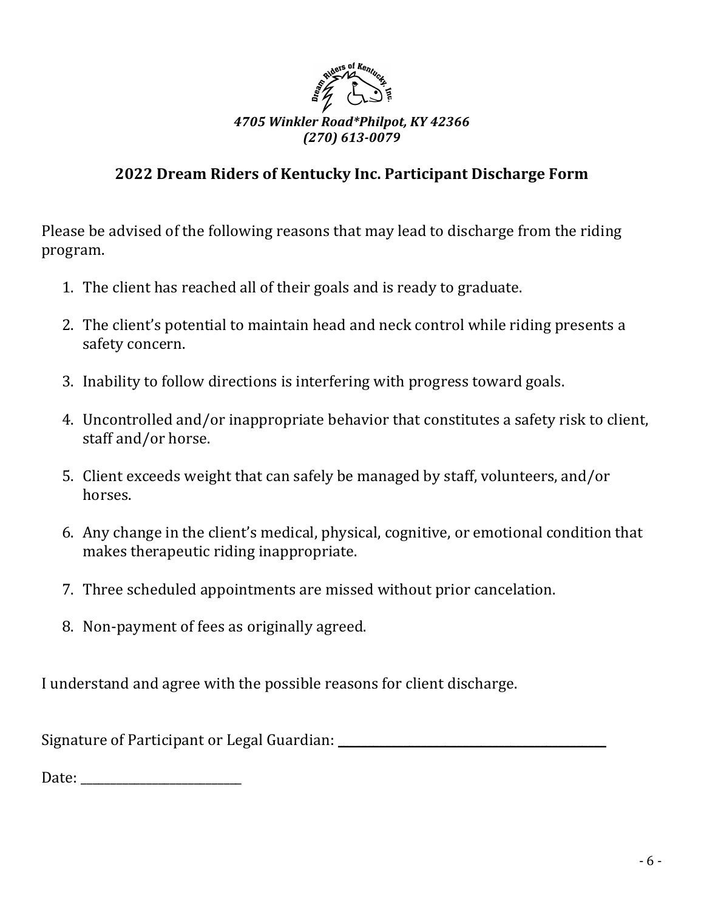

#### **2022 Dream Riders of Kentucky Inc. Participant Discharge Form**

Please be advised of the following reasons that may lead to discharge from the riding program. 

- 1. The client has reached all of their goals and is ready to graduate.
- 2. The client's potential to maintain head and neck control while riding presents a safety concern.
- 3. Inability to follow directions is interfering with progress toward goals.
- 4. Uncontrolled and/or inappropriate behavior that constitutes a safety risk to client, staff and/or horse.
- 5. Client exceeds weight that can safely be managed by staff, volunteers, and/or horses.
- 6. Any change in the client's medical, physical, cognitive, or emotional condition that makes therapeutic riding inappropriate.
- 7. Three scheduled appointments are missed without prior cancelation.
- 8. Non-payment of fees as originally agreed.

I understand and agree with the possible reasons for client discharge.

Signature of Participant or Legal Guardian: \_\_\_\_\_\_\_\_\_\_\_\_\_\_\_\_\_\_\_\_\_\_\_\_\_\_\_\_\_\_\_\_\_\_\_\_\_\_\_\_\_\_\_\_\_

Date: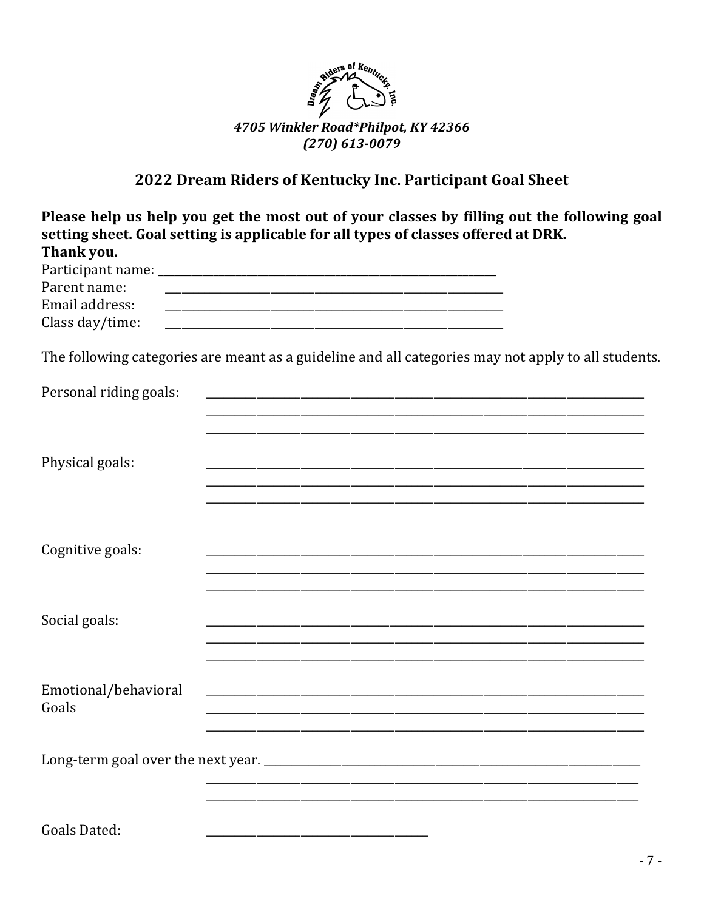

# 2022 Dream Riders of Kentucky Inc. Participant Goal Sheet

|                        | Please help us help you get the most out of your classes by filling out the following goal<br>setting sheet. Goal setting is applicable for all types of classes offered at DRK. |  |
|------------------------|----------------------------------------------------------------------------------------------------------------------------------------------------------------------------------|--|
| Thank you.             |                                                                                                                                                                                  |  |
|                        |                                                                                                                                                                                  |  |
| Parent name:           |                                                                                                                                                                                  |  |
| Email address:         |                                                                                                                                                                                  |  |
| Class day/time:        |                                                                                                                                                                                  |  |
|                        | The following categories are meant as a guideline and all categories may not apply to all students.                                                                              |  |
| Personal riding goals: |                                                                                                                                                                                  |  |
|                        |                                                                                                                                                                                  |  |
| Physical goals:        |                                                                                                                                                                                  |  |
|                        |                                                                                                                                                                                  |  |
|                        |                                                                                                                                                                                  |  |
| Cognitive goals:       |                                                                                                                                                                                  |  |
|                        |                                                                                                                                                                                  |  |
| Social goals:          |                                                                                                                                                                                  |  |
|                        |                                                                                                                                                                                  |  |
| Emotional/behavioral   |                                                                                                                                                                                  |  |
| Goals                  |                                                                                                                                                                                  |  |
|                        |                                                                                                                                                                                  |  |
|                        |                                                                                                                                                                                  |  |
| <b>Goals Dated:</b>    |                                                                                                                                                                                  |  |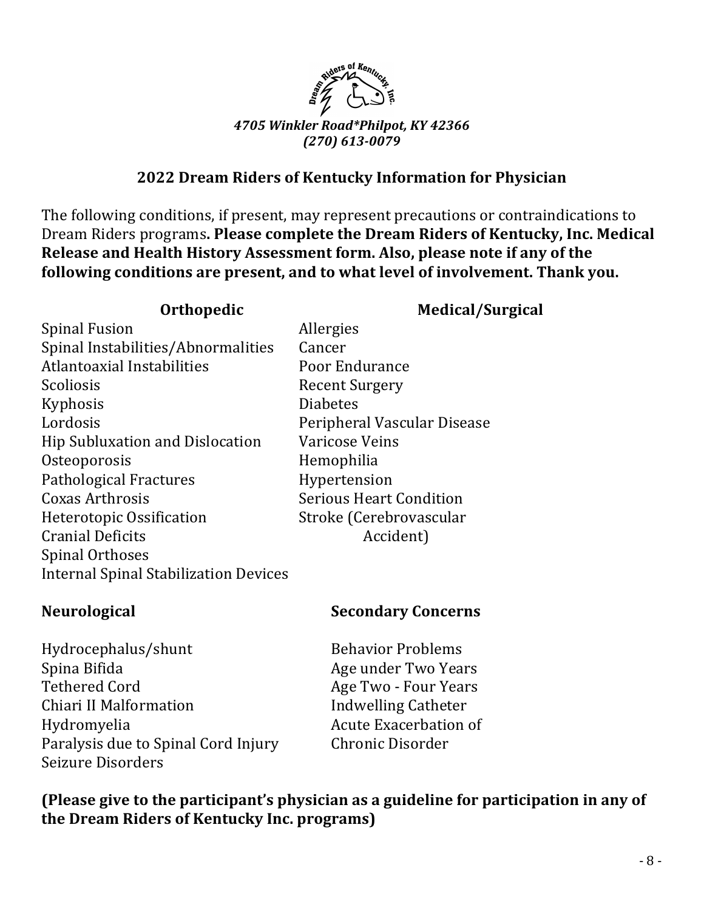

#### **2022 Dream Riders of Kentucky Information for Physician**

The following conditions, if present, may represent precautions or contraindications to Dream Riders programs. Please complete the Dream Riders of Kentucky, Inc. Medical Release and Health History Assessment form. Also, please note if any of the following conditions are present, and to what level of involvement. Thank you.

| <b>Orthopedic</b>                            | <b>Medical/Surgical</b>        |
|----------------------------------------------|--------------------------------|
| <b>Spinal Fusion</b>                         | Allergies                      |
| Spinal Instabilities/Abnormalities           | Cancer                         |
| Atlantoaxial Instabilities                   | Poor Endurance                 |
| <b>Scoliosis</b>                             | <b>Recent Surgery</b>          |
| Kyphosis                                     | <b>Diabetes</b>                |
| Lordosis                                     | Peripheral Vascular Disease    |
| Hip Subluxation and Dislocation              | Varicose Veins                 |
| Osteoporosis                                 | Hemophilia                     |
| <b>Pathological Fractures</b>                | Hypertension                   |
| Coxas Arthrosis                              | <b>Serious Heart Condition</b> |
| <b>Heterotopic Ossification</b>              | Stroke (Cerebrovascular        |
| <b>Cranial Deficits</b>                      | Accident)                      |
| <b>Spinal Orthoses</b>                       |                                |
| <b>Internal Spinal Stabilization Devices</b> |                                |
|                                              |                                |

Hydrocephalus/shunt Behavior Problems Spina Bifida **Age** under Two Years Tethered Cord **Age Two** - Four Years Chiari II Malformation **Indwelling Catheter** Hydromyelia **Acute Exacerbation** of Paralysis due to Spinal Cord Injury Chronic Disorder Seizure Disorders 

#### **Neurological Secondary Concerns**

**(Please give to the participant's physician as a guideline for participation in any of the Dream Riders of Kentucky Inc. programs)**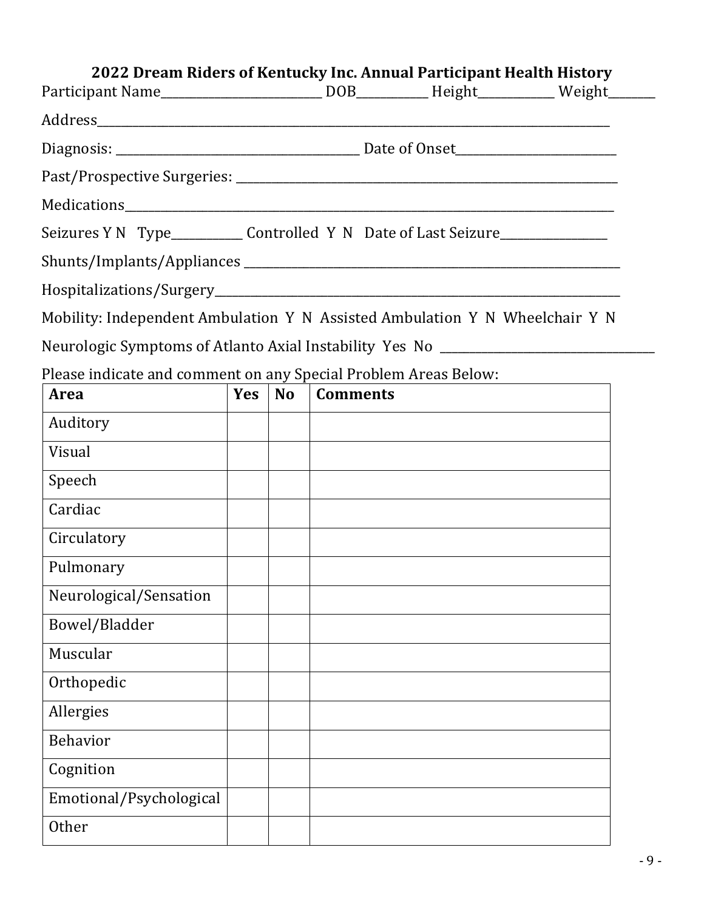| Seizures Y N Type____________ Controlled Y N Date of Last Seizure_______________<br>Mobility: Independent Ambulation Y N Assisted Ambulation Y N Wheelchair Y N<br>Neurologic Symptoms of Atlanto Axial Instability Yes No ________________________<br>Please indicate and comment on any Special Problem Areas Below:<br><b>Yes</b><br><b>No</b><br><b>Comments</b><br>Area<br>Auditory<br>Visual<br>Speech<br>Cardiac<br>Circulatory<br>Pulmonary<br>Neurological/Sensation<br>Bowel/Bladder<br>Muscular<br>Orthopedic<br>Allergies<br><b>Behavior</b><br>Cognition<br>Emotional/Psychological<br>Other | 2022 Dream Riders of Kentucky Inc. Annual Participant Health History |  |  |  |
|-----------------------------------------------------------------------------------------------------------------------------------------------------------------------------------------------------------------------------------------------------------------------------------------------------------------------------------------------------------------------------------------------------------------------------------------------------------------------------------------------------------------------------------------------------------------------------------------------------------|----------------------------------------------------------------------|--|--|--|
|                                                                                                                                                                                                                                                                                                                                                                                                                                                                                                                                                                                                           |                                                                      |  |  |  |
|                                                                                                                                                                                                                                                                                                                                                                                                                                                                                                                                                                                                           |                                                                      |  |  |  |
|                                                                                                                                                                                                                                                                                                                                                                                                                                                                                                                                                                                                           |                                                                      |  |  |  |
|                                                                                                                                                                                                                                                                                                                                                                                                                                                                                                                                                                                                           |                                                                      |  |  |  |
|                                                                                                                                                                                                                                                                                                                                                                                                                                                                                                                                                                                                           |                                                                      |  |  |  |
|                                                                                                                                                                                                                                                                                                                                                                                                                                                                                                                                                                                                           |                                                                      |  |  |  |
|                                                                                                                                                                                                                                                                                                                                                                                                                                                                                                                                                                                                           |                                                                      |  |  |  |
|                                                                                                                                                                                                                                                                                                                                                                                                                                                                                                                                                                                                           |                                                                      |  |  |  |
|                                                                                                                                                                                                                                                                                                                                                                                                                                                                                                                                                                                                           |                                                                      |  |  |  |
|                                                                                                                                                                                                                                                                                                                                                                                                                                                                                                                                                                                                           |                                                                      |  |  |  |
|                                                                                                                                                                                                                                                                                                                                                                                                                                                                                                                                                                                                           |                                                                      |  |  |  |
|                                                                                                                                                                                                                                                                                                                                                                                                                                                                                                                                                                                                           |                                                                      |  |  |  |
|                                                                                                                                                                                                                                                                                                                                                                                                                                                                                                                                                                                                           |                                                                      |  |  |  |
|                                                                                                                                                                                                                                                                                                                                                                                                                                                                                                                                                                                                           |                                                                      |  |  |  |
|                                                                                                                                                                                                                                                                                                                                                                                                                                                                                                                                                                                                           |                                                                      |  |  |  |
|                                                                                                                                                                                                                                                                                                                                                                                                                                                                                                                                                                                                           |                                                                      |  |  |  |
|                                                                                                                                                                                                                                                                                                                                                                                                                                                                                                                                                                                                           |                                                                      |  |  |  |
|                                                                                                                                                                                                                                                                                                                                                                                                                                                                                                                                                                                                           |                                                                      |  |  |  |
|                                                                                                                                                                                                                                                                                                                                                                                                                                                                                                                                                                                                           |                                                                      |  |  |  |
|                                                                                                                                                                                                                                                                                                                                                                                                                                                                                                                                                                                                           |                                                                      |  |  |  |
|                                                                                                                                                                                                                                                                                                                                                                                                                                                                                                                                                                                                           |                                                                      |  |  |  |
|                                                                                                                                                                                                                                                                                                                                                                                                                                                                                                                                                                                                           |                                                                      |  |  |  |
|                                                                                                                                                                                                                                                                                                                                                                                                                                                                                                                                                                                                           |                                                                      |  |  |  |
|                                                                                                                                                                                                                                                                                                                                                                                                                                                                                                                                                                                                           |                                                                      |  |  |  |
|                                                                                                                                                                                                                                                                                                                                                                                                                                                                                                                                                                                                           |                                                                      |  |  |  |
|                                                                                                                                                                                                                                                                                                                                                                                                                                                                                                                                                                                                           |                                                                      |  |  |  |